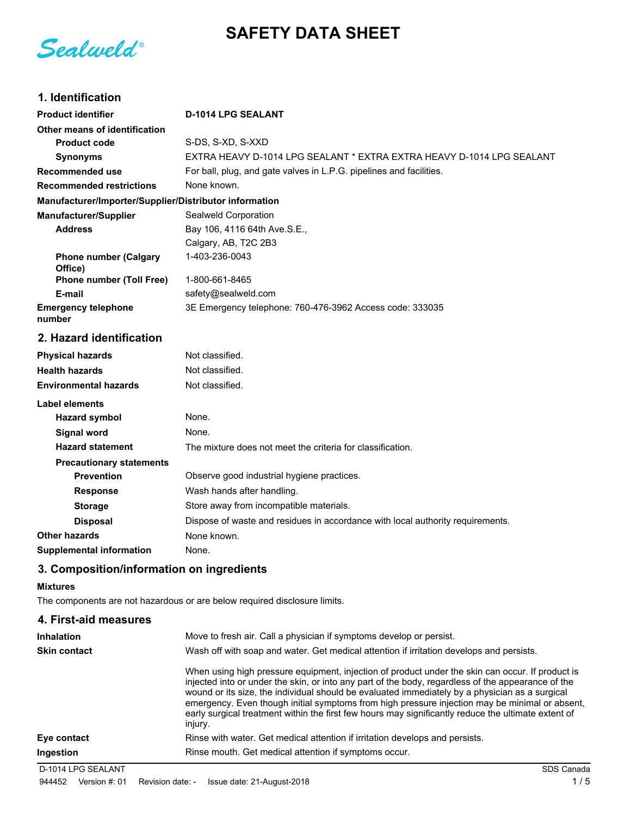**SAFETY DATA SHEET**

Sealweld®

## **1. Identification**

| <b>Product identifier</b>                              | <b>D-1014 LPG SEALANT</b>                                                      |
|--------------------------------------------------------|--------------------------------------------------------------------------------|
| Other means of identification                          |                                                                                |
| <b>Product code</b>                                    | S-DS, S-XD, S-XXD                                                              |
| <b>Synonyms</b>                                        | EXTRA HEAVY D-1014 LPG SEALANT * EXTRA EXTRA HEAVY D-1014 LPG SEALANT          |
| <b>Recommended use</b>                                 | For ball, plug, and gate valves in L.P.G. pipelines and facilities.            |
| <b>Recommended restrictions</b>                        | None known.                                                                    |
| Manufacturer/Importer/Supplier/Distributor information |                                                                                |
| Manufacturer/Supplier                                  | Sealweld Corporation                                                           |
| <b>Address</b>                                         | Bay 106, 4116 64th Ave.S.E.,                                                   |
|                                                        | Calgary, AB, T2C 2B3                                                           |
| <b>Phone number (Calgary</b><br>Office)                | 1-403-236-0043                                                                 |
| <b>Phone number (Toll Free)</b>                        | 1-800-661-8465                                                                 |
| E-mail                                                 | safety@sealweld.com                                                            |
| <b>Emergency telephone</b><br>number                   | 3E Emergency telephone: 760-476-3962 Access code: 333035                       |
| 2. Hazard identification                               |                                                                                |
| <b>Physical hazards</b>                                | Not classified.                                                                |
| <b>Health hazards</b>                                  | Not classified.                                                                |
| <b>Environmental hazards</b>                           | Not classified.                                                                |
| Label elements                                         |                                                                                |
| <b>Hazard symbol</b>                                   | None.                                                                          |
| Signal word                                            | None.                                                                          |
| <b>Hazard statement</b>                                | The mixture does not meet the criteria for classification.                     |
| <b>Precautionary statements</b>                        |                                                                                |
| <b>Prevention</b>                                      | Observe good industrial hygiene practices.                                     |
| <b>Response</b>                                        | Wash hands after handling.                                                     |
| <b>Storage</b>                                         | Store away from incompatible materials.                                        |
| <b>Disposal</b>                                        | Dispose of waste and residues in accordance with local authority requirements. |
| Other hazards                                          | None known.                                                                    |
| <b>Supplemental information</b>                        | None.                                                                          |

### **3. Composition/information on ingredients**

#### **Mixtures**

The components are not hazardous or are below required disclosure limits.

| Move to fresh air. Call a physician if symptoms develop or persist.                                                                                                                                                                                                                                                                                                                                                                                                                                                          |
|------------------------------------------------------------------------------------------------------------------------------------------------------------------------------------------------------------------------------------------------------------------------------------------------------------------------------------------------------------------------------------------------------------------------------------------------------------------------------------------------------------------------------|
| Wash off with soap and water. Get medical attention if irritation develops and persists.                                                                                                                                                                                                                                                                                                                                                                                                                                     |
| When using high pressure equipment, injection of product under the skin can occur. If product is<br>injected into or under the skin, or into any part of the body, regardless of the appearance of the<br>wound or its size, the individual should be evaluated immediately by a physician as a surgical<br>emergency. Even though initial symptoms from high pressure injection may be minimal or absent,<br>early surgical treatment within the first few hours may significantly reduce the ultimate extent of<br>injury. |
| Rinse with water. Get medical attention if irritation develops and persists.                                                                                                                                                                                                                                                                                                                                                                                                                                                 |
| Rinse mouth. Get medical attention if symptoms occur.                                                                                                                                                                                                                                                                                                                                                                                                                                                                        |
|                                                                                                                                                                                                                                                                                                                                                                                                                                                                                                                              |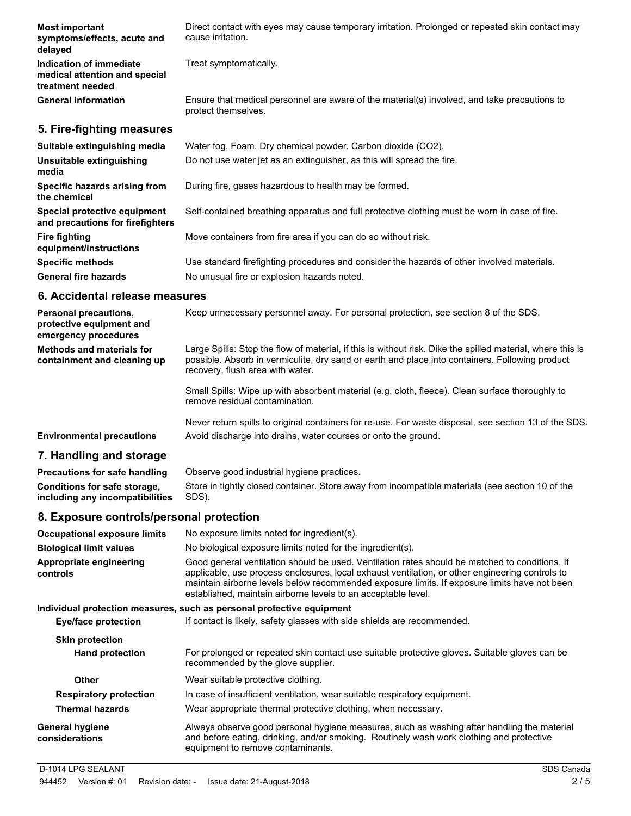| <b>Most important</b><br>symptoms/effects, acute and<br>delayed              | Direct contact with eyes may cause temporary irritation. Prolonged or repeated skin contact may<br>cause irritation. |
|------------------------------------------------------------------------------|----------------------------------------------------------------------------------------------------------------------|
| Indication of immediate<br>medical attention and special<br>treatment needed | Treat symptomatically.                                                                                               |
| <b>General information</b>                                                   | Ensure that medical personnel are aware of the material(s) involved, and take precautions to<br>protect themselves.  |
| 5. Fire-fighting measures                                                    |                                                                                                                      |
| Suitable extinguishing media                                                 | Water fog. Foam. Dry chemical powder. Carbon dioxide (CO2).                                                          |
| Unsuitable extinguishing<br>media                                            | Do not use water jet as an extinguisher, as this will spread the fire.                                               |
| Specific hazards arising from<br>the chemical                                | During fire, gases hazardous to health may be formed.                                                                |
| Special protective equipment                                                 | Self-contained breathing apparatus and full protective clothing must be worn in case of fire.                        |

**and precautions for firefighters Fire fighting** Move containers from fire area if you can do so without risk. **equipment/instructions Specific methods** Use standard firefighting procedures and consider the hazards of other involved materials. General fire hazards **No unusual fire or explosion hazards noted.** 

### **6. Accidental release measures**

| <b>Personal precautions,</b><br>protective equipment and<br>emergency procedures | Keep unnecessary personnel away. For personal protection, see section 8 of the SDS.                                                                                                                                                               |
|----------------------------------------------------------------------------------|---------------------------------------------------------------------------------------------------------------------------------------------------------------------------------------------------------------------------------------------------|
| <b>Methods and materials for</b><br>containment and cleaning up                  | Large Spills: Stop the flow of material, if this is without risk. Dike the spilled material, where this is<br>possible. Absorb in vermiculite, dry sand or earth and place into containers. Following product<br>recovery, flush area with water. |
|                                                                                  | Small Spills: Wipe up with absorbent material (e.g. cloth, fleece). Clean surface thoroughly to<br>remove residual contamination.                                                                                                                 |

Never return spills to original containers for re-use. For waste disposal, see section 13 of the SDS. **Environmental precautions** Avoid discharge into drains, water courses or onto the ground.

### **7. Handling and storage**

| <b>Precautions for safe handling</b> | Observe good industrial hygiene practices.                                                       |
|--------------------------------------|--------------------------------------------------------------------------------------------------|
| Conditions for safe storage,         | Store in tightly closed container. Store away from incompatible materials (see section 10 of the |
| including any incompatibilities      | SDS).                                                                                            |

#### **8. Exposure controls/personal protection**

| <b>Occupational exposure limits</b>                                   | No exposure limits noted for ingredient(s).                                                                                                                                                                                                                                                                                                                        |  |
|-----------------------------------------------------------------------|--------------------------------------------------------------------------------------------------------------------------------------------------------------------------------------------------------------------------------------------------------------------------------------------------------------------------------------------------------------------|--|
| <b>Biological limit values</b>                                        | No biological exposure limits noted for the ingredient(s).                                                                                                                                                                                                                                                                                                         |  |
| Appropriate engineering<br>controls                                   | Good general ventilation should be used. Ventilation rates should be matched to conditions. If<br>applicable, use process enclosures, local exhaust ventilation, or other engineering controls to<br>maintain airborne levels below recommended exposure limits. If exposure limits have not been<br>established, maintain airborne levels to an acceptable level. |  |
| Individual protection measures, such as personal protective equipment |                                                                                                                                                                                                                                                                                                                                                                    |  |
| Eye/face protection                                                   | If contact is likely, safety glasses with side shields are recommended.                                                                                                                                                                                                                                                                                            |  |
| <b>Skin protection</b>                                                |                                                                                                                                                                                                                                                                                                                                                                    |  |
| <b>Hand protection</b>                                                | For prolonged or repeated skin contact use suitable protective gloves. Suitable gloves can be<br>recommended by the glove supplier.                                                                                                                                                                                                                                |  |
| <b>Other</b>                                                          | Wear suitable protective clothing.                                                                                                                                                                                                                                                                                                                                 |  |
| <b>Respiratory protection</b>                                         | In case of insufficient ventilation, wear suitable respiratory equipment.                                                                                                                                                                                                                                                                                          |  |
| <b>Thermal hazards</b>                                                | Wear appropriate thermal protective clothing, when necessary.                                                                                                                                                                                                                                                                                                      |  |
| <b>General hygiene</b><br>considerations                              | Always observe good personal hygiene measures, such as washing after handling the material<br>and before eating, drinking, and/or smoking. Routinely wash work clothing and protective<br>equipment to remove contaminants.                                                                                                                                        |  |

D-1014 LPG SEALANT SOS Canada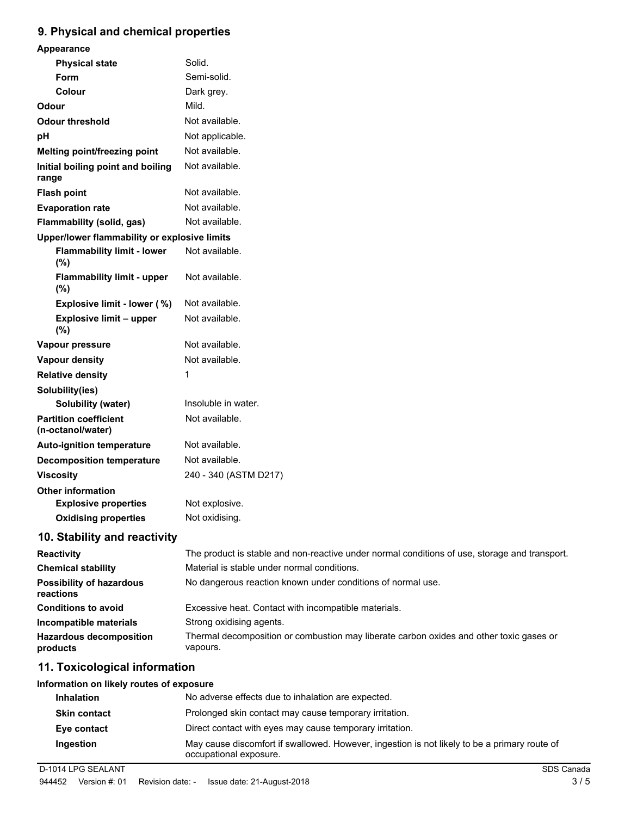## **9. Physical and chemical properties**

| v. myölöäränä ononnoarproperacs                   |                                                                                               |
|---------------------------------------------------|-----------------------------------------------------------------------------------------------|
| Appearance                                        |                                                                                               |
| <b>Physical state</b>                             | Solid.                                                                                        |
| Form                                              | Semi-solid.                                                                                   |
| Colour                                            | Dark grey.                                                                                    |
| <b>Odour</b>                                      | Mild.                                                                                         |
| <b>Odour threshold</b>                            | Not available.                                                                                |
| рH                                                | Not applicable.                                                                               |
| Melting point/freezing point                      | Not available.                                                                                |
| Initial boiling point and boiling<br>range        | Not available.                                                                                |
| <b>Flash point</b>                                | Not available.                                                                                |
| <b>Evaporation rate</b>                           | Not available.                                                                                |
| Flammability (solid, gas)                         | Not available.                                                                                |
| Upper/lower flammability or explosive limits      |                                                                                               |
| <b>Flammability limit - lower</b><br>$(\%)$       | Not available.                                                                                |
| <b>Flammability limit - upper</b><br>(%)          | Not available.                                                                                |
| Explosive limit - lower (%)                       | Not available.                                                                                |
| <b>Explosive limit - upper</b><br>$(\%)$          | Not available.                                                                                |
| Vapour pressure                                   | Not available.                                                                                |
| <b>Vapour density</b>                             | Not available.                                                                                |
| <b>Relative density</b>                           | 1                                                                                             |
| Solubility(ies)                                   |                                                                                               |
| <b>Solubility (water)</b>                         | Insoluble in water.                                                                           |
| <b>Partition coefficient</b><br>(n-octanol/water) | Not available.                                                                                |
| <b>Auto-ignition temperature</b>                  | Not available.                                                                                |
| <b>Decomposition temperature</b>                  | Not available.                                                                                |
| <b>Viscosity</b>                                  | 240 - 340 (ASTM D217)                                                                         |
| <b>Other information</b>                          |                                                                                               |
| <b>Explosive properties</b>                       | Not explosive.                                                                                |
| <b>Oxidising properties</b>                       | Not oxidising.                                                                                |
| 10. Stability and reactivity                      |                                                                                               |
| Reactivity                                        | The product is stable and non-reactive under normal conditions of use, storage and transport. |
| <b>Chemical stability</b>                         | Material is stable under normal conditions.                                                   |
| <b>Possibility of hazardous</b>                   | No dangerous reaction known under conditions of normal use.                                   |

| r vəsibility vi fiazafuvus<br>reactions    | <u>INU UAINGIUUS TEACHUIT NITUWIT UITUEL CUITUINIUTIS ULTIUITITAI USE.</u>                          |
|--------------------------------------------|-----------------------------------------------------------------------------------------------------|
| Conditions to avoid                        | Excessive heat. Contact with incompatible materials.                                                |
| Incompatible materials                     | Strong oxidising agents.                                                                            |
| <b>Hazardous decomposition</b><br>products | Thermal decomposition or combustion may liberate carbon oxides and other toxic gases or<br>vapours. |

## **11. Toxicological information**

#### **Information on likely routes of exposure**

| <b>Inhalation</b>   | No adverse effects due to inhalation are expected.                                                                     |
|---------------------|------------------------------------------------------------------------------------------------------------------------|
| <b>Skin contact</b> | Prolonged skin contact may cause temporary irritation.                                                                 |
| Eye contact         | Direct contact with eyes may cause temporary irritation.                                                               |
| Ingestion           | May cause discomfort if swallowed. However, ingestion is not likely to be a primary route of<br>occupational exposure. |
| D-1014 LPG SEALANT  | SDS Canada                                                                                                             |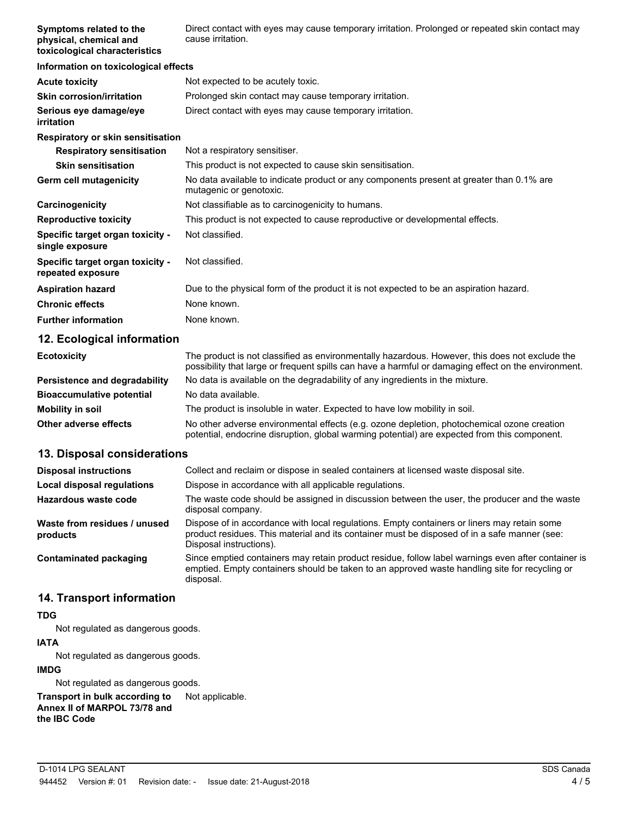**Symptoms related to the physical, chemical and toxicological characteristics** Direct contact with eyes may cause temporary irritation. Prolonged or repeated skin contact may cause irritation.

| Information on toxicological effects                  |                                                                                                                     |
|-------------------------------------------------------|---------------------------------------------------------------------------------------------------------------------|
| <b>Acute toxicity</b>                                 | Not expected to be acutely toxic.                                                                                   |
| <b>Skin corrosion/irritation</b>                      | Prolonged skin contact may cause temporary irritation.                                                              |
| Serious eye damage/eye<br>irritation                  | Direct contact with eyes may cause temporary irritation.                                                            |
| Respiratory or skin sensitisation                     |                                                                                                                     |
| <b>Respiratory sensitisation</b>                      | Not a respiratory sensitiser.                                                                                       |
| <b>Skin sensitisation</b>                             | This product is not expected to cause skin sensitisation.                                                           |
| <b>Germ cell mutagenicity</b>                         | No data available to indicate product or any components present at greater than 0.1% are<br>mutagenic or genotoxic. |
| Carcinogenicity                                       | Not classifiable as to carcinogenicity to humans.                                                                   |
| <b>Reproductive toxicity</b>                          | This product is not expected to cause reproductive or developmental effects.                                        |
| Specific target organ toxicity -<br>single exposure   | Not classified.                                                                                                     |
| Specific target organ toxicity -<br>repeated exposure | Not classified.                                                                                                     |
| <b>Aspiration hazard</b>                              | Due to the physical form of the product it is not expected to be an aspiration hazard.                              |
| <b>Chronic effects</b>                                | None known.                                                                                                         |
| <b>Further information</b>                            | None known.                                                                                                         |

#### **12. Ecological information**

| <b>Ecotoxicity</b>               | The product is not classified as environmentally hazardous. However, this does not exclude the<br>possibility that large or frequent spills can have a harmful or damaging effect on the environment. |
|----------------------------------|-------------------------------------------------------------------------------------------------------------------------------------------------------------------------------------------------------|
| Persistence and degradability    | No data is available on the degradability of any ingredients in the mixture.                                                                                                                          |
| <b>Bioaccumulative potential</b> | No data available.                                                                                                                                                                                    |
| <b>Mobility in soil</b>          | The product is insoluble in water. Expected to have low mobility in soil.                                                                                                                             |
| Other adverse effects            | No other adverse environmental effects (e.g. ozone depletion, photochemical ozone creation<br>potential, endocrine disruption, global warming potential) are expected from this component.            |

### **13. Disposal considerations**

| <b>Disposal instructions</b>             | Collect and reclaim or dispose in sealed containers at licensed waste disposal site.                                                                                                                                   |
|------------------------------------------|------------------------------------------------------------------------------------------------------------------------------------------------------------------------------------------------------------------------|
| Local disposal regulations               | Dispose in accordance with all applicable regulations.                                                                                                                                                                 |
| Hazardous waste code                     | The waste code should be assigned in discussion between the user, the producer and the waste<br>disposal company.                                                                                                      |
| Waste from residues / unused<br>products | Dispose of in accordance with local regulations. Empty containers or liners may retain some<br>product residues. This material and its container must be disposed of in a safe manner (see:<br>Disposal instructions). |
| Contaminated packaging                   | Since emptied containers may retain product residue, follow label warnings even after container is<br>emptied. Empty containers should be taken to an approved waste handling site for recycling or<br>disposal.       |

### **14. Transport information**

#### **TDG**

Not regulated as dangerous goods.

# **IATA** Not regulated as dangerous goods.

**IMDG**

Not regulated as dangerous goods.

**Transport in bulk according to** Not applicable. **Annex II of MARPOL 73/78 and the IBC Code**